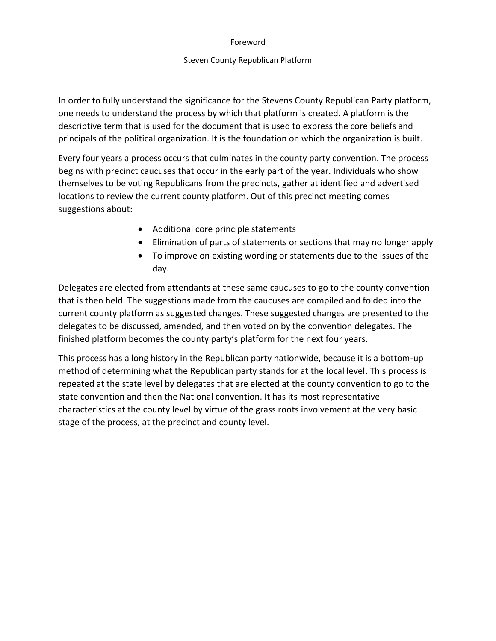### Foreword

## Steven County Republican Platform

In order to fully understand the significance for the Stevens County Republican Party platform, one needs to understand the process by which that platform is created. A platform is the descriptive term that is used for the document that is used to express the core beliefs and principals of the political organization. It is the foundation on which the organization is built.

Every four years a process occurs that culminates in the county party convention. The process begins with precinct caucuses that occur in the early part of the year. Individuals who show themselves to be voting Republicans from the precincts, gather at identified and advertised locations to review the current county platform. Out of this precinct meeting comes suggestions about:

- Additional core principle statements
- Elimination of parts of statements or sections that may no longer apply
- To improve on existing wording or statements due to the issues of the day.

Delegates are elected from attendants at these same caucuses to go to the county convention that is then held. The suggestions made from the caucuses are compiled and folded into the current county platform as suggested changes. These suggested changes are presented to the delegates to be discussed, amended, and then voted on by the convention delegates. The finished platform becomes the county party's platform for the next four years.

This process has a long history in the Republican party nationwide, because it is a bottom-up method of determining what the Republican party stands for at the local level. This process is repeated at the state level by delegates that are elected at the county convention to go to the state convention and then the National convention. It has its most representative characteristics at the county level by virtue of the grass roots involvement at the very basic stage of the process, at the precinct and county level.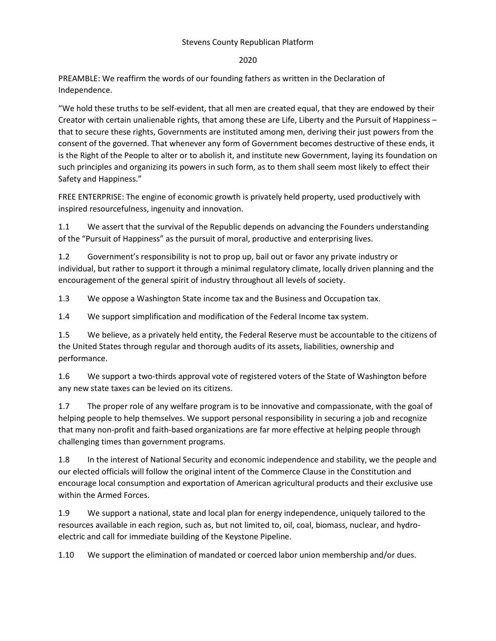## Stevens County Republican Platform

### 2020

PREAMBLE: We reaffirm the words of our founding fathers as written in the Declaration of Independence.

"We hold these truths to be self-evident, that all men are created equal, that they are endowed by their Creator with certain unalienable rights, that among these are Life, Liberty and the Pursuit of Happiness – that to secure these rights, Governments are instituted among men, deriving their just powers from the consent of the governed. That whenever any form of Government becomes destructive of these ends, it is the Right of the People to alter or to abolish it, and institute new Government, laying its foundation on such principles and organizing its powers in such form, as to them shall seem most likely to effect their Safety and Happiness."

FREE ENTERPRISE: The engine of economic growth is privately held property, used productively with inspired resourcefulness, ingenuity and innovation.

1.1 We assert that the survival of the Republic depends on advancing the Founders understanding of the "Pursuit of Happiness" as the pursuit of moral, productive and enterprising lives.

1.2 Government's responsibility is not to prop up, bail out or favor any private industry or individual, but rather to support it through a minimal regulatory climate, locally driven planning and the encouragement of the general spirit of industry throughout all levels of society.

1.3 We oppose a Washington State income tax and the Business and Occupation tax.

1.4 We support simplification and modification of the Federal Income tax system.

1.5 We believe, as a privately held entity, the Federal Reserve must be accountable to the citizens of the United States through regular and thorough audits of its assets, liabilities, ownership and performance.

1.6 We support a two-thirds approval vote of registered voters of the State of Washington before any new state taxes can be levied on its citizens.

1.7 The proper role of any welfare program is to be innovative and compassionate, with the goal of helping people to help themselves. We support personal responsibility in securing a job and recognize that many non-profit and faith-based organizations are far more effective at helping people through challenging times than government programs.

1.8 In the interest of National Security and economic independence and stability, we the people and our elected officials will follow the original intent of the Commerce Clause in the Constitution and encourage local consumption and exportation of American agricultural products and their exclusive use within the Armed Forces.

1.9 We support a national, state and local plan for energy independence, uniquely tailored to the resources available in each region, such as, but not limited to, oil, coal, biomass, nuclear, and hydroelectric and call for immediate building of the Keystone Pipeline.

1.10 We support the elimination of mandated or coerced labor union membership and/or dues.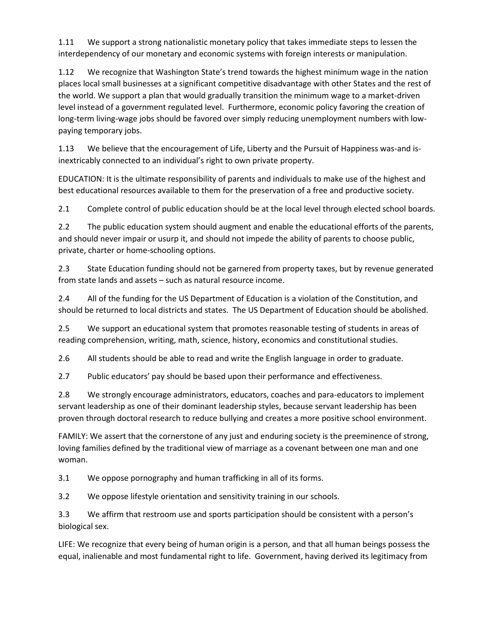1.11 We support a strong nationalistic monetary policy that takes immediate steps to lessen the interdependency of our monetary and economic systems with foreign interests or manipulation.

1.12 We recognize that Washington State's trend towards the highest minimum wage in the nation places local small businesses at a significant competitive disadvantage with other States and the rest of the world. We support a plan that would gradually transition the minimum wage to a market-driven level instead of a government regulated level. Furthermore, economic policy favoring the creation of long-term living-wage jobs should be favored over simply reducing unemployment numbers with lowpaying temporary jobs.

1.13 We believe that the encouragement of Life, Liberty and the Pursuit of Happiness was-and isinextricably connected to an individual's right to own private property.

EDUCATION: It is the ultimate responsibility of parents and individuals to make use of the highest and best educational resources available to them for the preservation of a free and productive society.

2.1 Complete control of public education should be at the local level through elected school boards.

2.2 The public education system should augment and enable the educational efforts of the parents, and should never impair or usurp it, and should not impede the ability of parents to choose public, private, charter or home-schooling options.

2.3 State Education funding should not be garnered from property taxes, but by revenue generated from state lands and assets – such as natural resource income.

2.4 All of the funding for the US Department of Education is a violation of the Constitution, and should be returned to local districts and states. The US Department of Education should be abolished.

2.5 We support an educational system that promotes reasonable testing of students in areas of reading comprehension, writing, math, science, history, economics and constitutional studies.

2.6 All students should be able to read and write the English language in order to graduate.

2.7 Public educators' pay should be based upon their performance and effectiveness.

2.8 We strongly encourage administrators, educators, coaches and para-educators to implement servant leadership as one of their dominant leadership styles, because servant leadership has been proven through doctoral research to reduce bullying and creates a more positive school environment.

FAMILY: We assert that the cornerstone of any just and enduring society is the preeminence of strong, loving families defined by the traditional view of marriage as a covenant between one man and one woman.

3.1 We oppose pornography and human trafficking in all of its forms.

3.2 We oppose lifestyle orientation and sensitivity training in our schools.

3.3 We affirm that restroom use and sports participation should be consistent with a person's biological sex.

LIFE: We recognize that every being of human origin is a person, and that all human beings possess the equal, inalienable and most fundamental right to life. Government, having derived its legitimacy from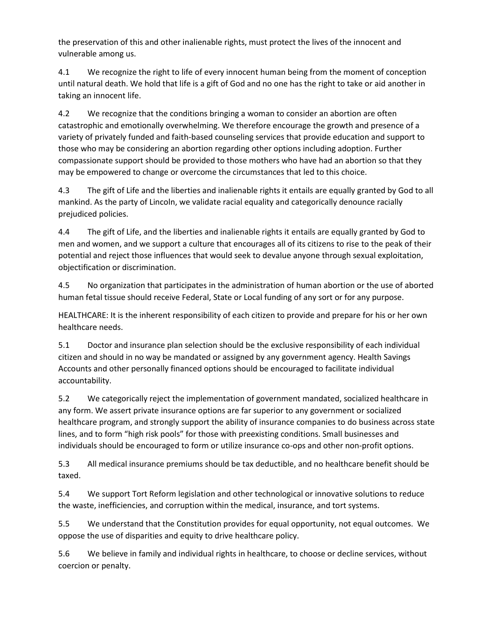the preservation of this and other inalienable rights, must protect the lives of the innocent and vulnerable among us.

4.1 We recognize the right to life of every innocent human being from the moment of conception until natural death. We hold that life is a gift of God and no one has the right to take or aid another in taking an innocent life.

4.2 We recognize that the conditions bringing a woman to consider an abortion are often catastrophic and emotionally overwhelming. We therefore encourage the growth and presence of a variety of privately funded and faith-based counseling services that provide education and support to those who may be considering an abortion regarding other options including adoption. Further compassionate support should be provided to those mothers who have had an abortion so that they may be empowered to change or overcome the circumstances that led to this choice.

4.3 The gift of Life and the liberties and inalienable rights it entails are equally granted by God to all mankind. As the party of Lincoln, we validate racial equality and categorically denounce racially prejudiced policies.

4.4 The gift of Life, and the liberties and inalienable rights it entails are equally granted by God to men and women, and we support a culture that encourages all of its citizens to rise to the peak of their potential and reject those influences that would seek to devalue anyone through sexual exploitation, objectification or discrimination.

4.5 No organization that participates in the administration of human abortion or the use of aborted human fetal tissue should receive Federal, State or Local funding of any sort or for any purpose.

HEALTHCARE: It is the inherent responsibility of each citizen to provide and prepare for his or her own healthcare needs.

5.1 Doctor and insurance plan selection should be the exclusive responsibility of each individual citizen and should in no way be mandated or assigned by any government agency. Health Savings Accounts and other personally financed options should be encouraged to facilitate individual accountability.

5.2 We categorically reject the implementation of government mandated, socialized healthcare in any form. We assert private insurance options are far superior to any government or socialized healthcare program, and strongly support the ability of insurance companies to do business across state lines, and to form "high risk pools" for those with preexisting conditions. Small businesses and individuals should be encouraged to form or utilize insurance co-ops and other non-profit options.

5.3 All medical insurance premiums should be tax deductible, and no healthcare benefit should be taxed.

5.4 We support Tort Reform legislation and other technological or innovative solutions to reduce the waste, inefficiencies, and corruption within the medical, insurance, and tort systems.

5.5 We understand that the Constitution provides for equal opportunity, not equal outcomes. We oppose the use of disparities and equity to drive healthcare policy.

5.6 We believe in family and individual rights in healthcare, to choose or decline services, without coercion or penalty.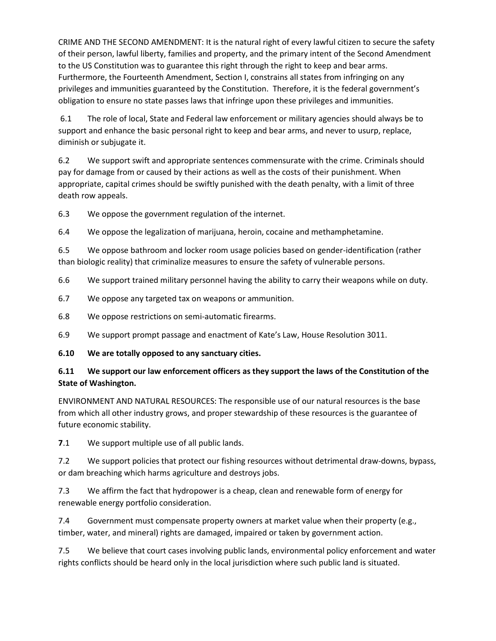CRIME AND THE SECOND AMENDMENT: It is the natural right of every lawful citizen to secure the safety of their person, lawful liberty, families and property, and the primary intent of the Second Amendment to the US Constitution was to guarantee this right through the right to keep and bear arms. Furthermore, the Fourteenth Amendment, Section I, constrains all states from infringing on any privileges and immunities guaranteed by the Constitution. Therefore, it is the federal government's obligation to ensure no state passes laws that infringe upon these privileges and immunities.

6.1 The role of local, State and Federal law enforcement or military agencies should always be to support and enhance the basic personal right to keep and bear arms, and never to usurp, replace, diminish or subjugate it.

6.2 We support swift and appropriate sentences commensurate with the crime. Criminals should pay for damage from or caused by their actions as well as the costs of their punishment. When appropriate, capital crimes should be swiftly punished with the death penalty, with a limit of three death row appeals.

6.3 We oppose the government regulation of the internet.

6.4 We oppose the legalization of marijuana, heroin, cocaine and methamphetamine.

6.5 We oppose bathroom and locker room usage policies based on gender-identification (rather than biologic reality) that criminalize measures to ensure the safety of vulnerable persons.

6.6 We support trained military personnel having the ability to carry their weapons while on duty.

- 6.7 We oppose any targeted tax on weapons or ammunition.
- 6.8 We oppose restrictions on semi-automatic firearms.
- 6.9 We support prompt passage and enactment of Kate's Law, House Resolution 3011.
- **6.10 We are totally opposed to any sanctuary cities.**

# **6.11 We support our law enforcement officers as they support the laws of the Constitution of the State of Washington.**

ENVIRONMENT AND NATURAL RESOURCES: The responsible use of our natural resources is the base from which all other industry grows, and proper stewardship of these resources is the guarantee of future economic stability.

**7**.1 We support multiple use of all public lands.

7.2 We support policies that protect our fishing resources without detrimental draw-downs, bypass, or dam breaching which harms agriculture and destroys jobs.

7.3 We affirm the fact that hydropower is a cheap, clean and renewable form of energy for renewable energy portfolio consideration.

7.4 Government must compensate property owners at market value when their property (e.g., timber, water, and mineral) rights are damaged, impaired or taken by government action.

7.5 We believe that court cases involving public lands, environmental policy enforcement and water rights conflicts should be heard only in the local jurisdiction where such public land is situated.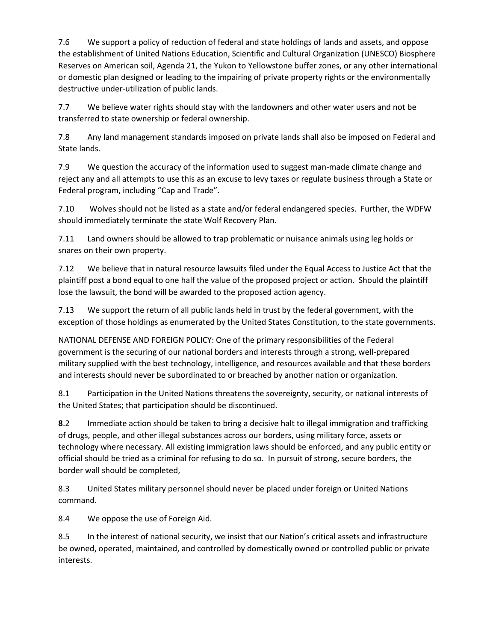7.6 We support a policy of reduction of federal and state holdings of lands and assets, and oppose the establishment of United Nations Education, Scientific and Cultural Organization (UNESCO) Biosphere Reserves on American soil, Agenda 21, the Yukon to Yellowstone buffer zones, or any other international or domestic plan designed or leading to the impairing of private property rights or the environmentally destructive under-utilization of public lands.

7.7 We believe water rights should stay with the landowners and other water users and not be transferred to state ownership or federal ownership.

7.8 Any land management standards imposed on private lands shall also be imposed on Federal and State lands.

7.9 We question the accuracy of the information used to suggest man-made climate change and reject any and all attempts to use this as an excuse to levy taxes or regulate business through a State or Federal program, including "Cap and Trade".

7.10 Wolves should not be listed as a state and/or federal endangered species. Further, the WDFW should immediately terminate the state Wolf Recovery Plan.

7.11 Land owners should be allowed to trap problematic or nuisance animals using leg holds or snares on their own property.

7.12 We believe that in natural resource lawsuits filed under the Equal Access to Justice Act that the plaintiff post a bond equal to one half the value of the proposed project or action. Should the plaintiff lose the lawsuit, the bond will be awarded to the proposed action agency.

7.13 We support the return of all public lands held in trust by the federal government, with the exception of those holdings as enumerated by the United States Constitution, to the state governments.

NATIONAL DEFENSE AND FOREIGN POLICY: One of the primary responsibilities of the Federal government is the securing of our national borders and interests through a strong, well-prepared military supplied with the best technology, intelligence, and resources available and that these borders and interests should never be subordinated to or breached by another nation or organization.

8.1 Participation in the United Nations threatens the sovereignty, security, or national interests of the United States; that participation should be discontinued.

**8**.2 Immediate action should be taken to bring a decisive halt to illegal immigration and trafficking of drugs, people, and other illegal substances across our borders, using military force, assets or technology where necessary. All existing immigration laws should be enforced, and any public entity or official should be tried as a criminal for refusing to do so. In pursuit of strong, secure borders, the border wall should be completed,

8.3 United States military personnel should never be placed under foreign or United Nations command.

8.4 We oppose the use of Foreign Aid.

8.5 In the interest of national security, we insist that our Nation's critical assets and infrastructure be owned, operated, maintained, and controlled by domestically owned or controlled public or private interests.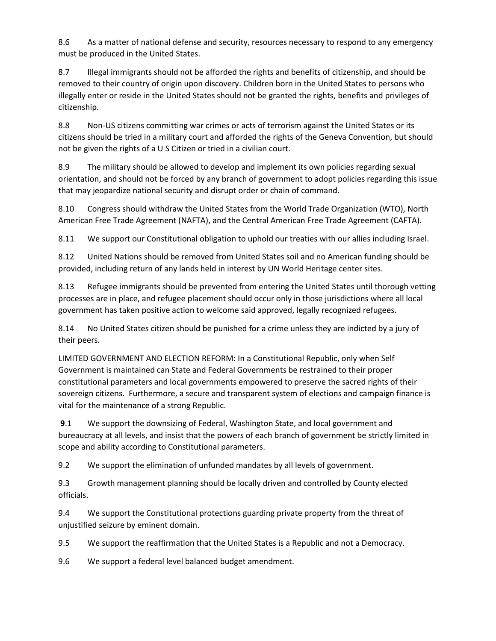8.6 As a matter of national defense and security, resources necessary to respond to any emergency must be produced in the United States.

8.7 Illegal immigrants should not be afforded the rights and benefits of citizenship, and should be removed to their country of origin upon discovery. Children born in the United States to persons who illegally enter or reside in the United States should not be granted the rights, benefits and privileges of citizenship.

8.8 Non-US citizens committing war crimes or acts of terrorism against the United States or its citizens should be tried in a military court and afforded the rights of the Geneva Convention, but should not be given the rights of a U S Citizen or tried in a civilian court.

8.9 The military should be allowed to develop and implement its own policies regarding sexual orientation, and should not be forced by any branch of government to adopt policies regarding this issue that may jeopardize national security and disrupt order or chain of command.

8.10 Congress should withdraw the United States from the World Trade Organization (WTO), North American Free Trade Agreement (NAFTA), and the Central American Free Trade Agreement (CAFTA).

8.11 We support our Constitutional obligation to uphold our treaties with our allies including Israel.

8.12 United Nations should be removed from United States soil and no American funding should be provided, including return of any lands held in interest by UN World Heritage center sites.

8.13 Refugee immigrants should be prevented from entering the United States until thorough vetting processes are in place, and refugee placement should occur only in those jurisdictions where all local government has taken positive action to welcome said approved, legally recognized refugees.

8.14 No United States citizen should be punished for a crime unless they are indicted by a jury of their peers.

LIMITED GOVERNMENT AND ELECTION REFORM: In a Constitutional Republic, only when Self Government is maintained can State and Federal Governments be restrained to their proper constitutional parameters and local governments empowered to preserve the sacred rights of their sovereign citizens. Furthermore, a secure and transparent system of elections and campaign finance is vital for the maintenance of a strong Republic.

**9**.1 We support the downsizing of Federal, Washington State, and local government and bureaucracy at all levels, and insist that the powers of each branch of government be strictly limited in scope and ability according to Constitutional parameters.

9.2 We support the elimination of unfunded mandates by all levels of government.

9.3 Growth management planning should be locally driven and controlled by County elected officials.

9.4 We support the Constitutional protections guarding private property from the threat of unjustified seizure by eminent domain.

9.5 We support the reaffirmation that the United States is a Republic and not a Democracy.

9.6 We support a federal level balanced budget amendment.